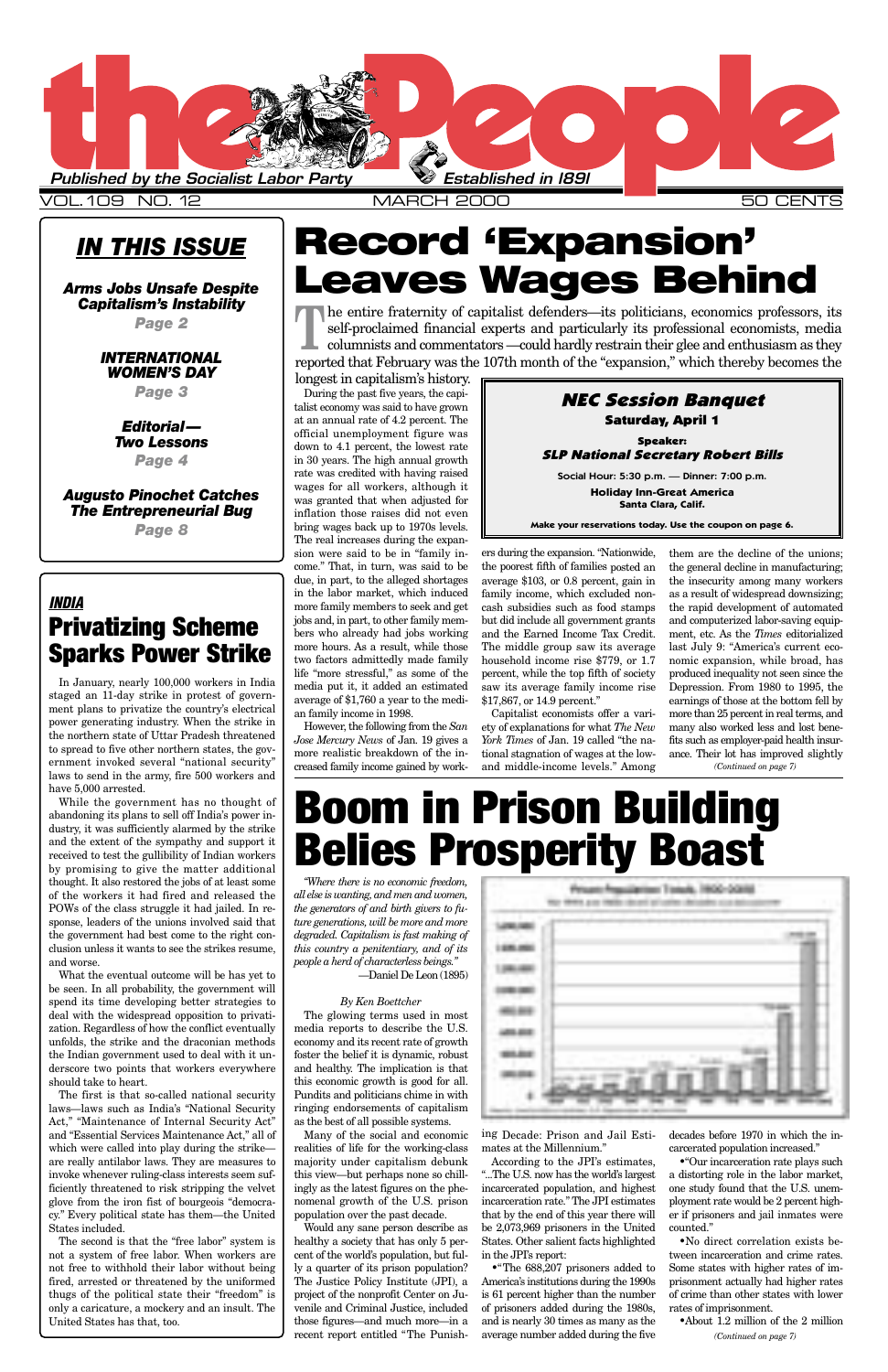### *IN THIS ISSUE*

*Arms Jobs Unsafe Despite Capitalism's Instability*

*Page 2*

*INTERNATIONAL WOMEN'S DAY*

*Page 3*

*Editorial— Two Lessons*

*Page 4*

*Augusto Pinochet Catches The Entrepreneurial Bug Page 8*

> *"Where there is no economic freedom, all else is wanting, and men and women, the generators of and birth givers to future generations, will be more and more degraded. Capitalism is fast making of this country a penitentiary, and of its people a herd of characterless beings."* —Daniel De Leon (1895)

> > *By Ken Boettcher*

| m a |        |   |                               | de l'abrigation de l'artista |  |  |
|-----|--------|---|-------------------------------|------------------------------|--|--|
|     | din gr | w | m<br>.<br><b>The Contract</b> |                              |  |  |
|     | w      |   |                               |                              |  |  |
|     |        |   |                               |                              |  |  |
|     |        |   |                               |                              |  |  |
|     |        |   |                               |                              |  |  |
|     |        |   |                               |                              |  |  |

The glowing terms used in most media reports to describe the U.S. economy and its recent rate of growth foster the belief it is dynamic, robust and healthy. The implication is that this economic growth is good for all. Pundits and politicians chime in with ringing endorsements of capitalism as the best of all possible systems.

Many of the social and economic realities of life for the working-class majority under capitalism debunk this view—but perhaps none so chillingly as the latest figures on the phenomenal growth of the U.S. prison population over the past decade.

Would any sane person describe as healthy a society that has only 5 percent of the world's population, but fully a quarter of its prison population? The Justice Policy Institute (JPI), a project of the nonprofit Center on Juvenile and Criminal Justice, included those figures—and much more—in a recent report entitled "The Punish-



ing Decade: Prison and Jail Estimates at the Millennium."

According to the JPI's estimates, "...The U.S. now has the world's largest incarcerated population, and highest incarceration rate." The JPI estimates that by the end of this year there will be 2,073,969 prisoners in the United States. Other salient facts highlighted in the JPI's report:

•"The 688,207 prisoners added to America's institutions during the 1990s is 61 percent higher than the number of prisoners added during the 1980s, and is nearly 30 times as many as the average number added during the five decades before 1970 in which the incarcerated population increased."

•"Our incarceration rate plays such a distorting role in the labor market, one study found that the U.S. unemployment rate would be 2 percent higher if prisoners and jail inmates were counted."

•No direct correlation exists between incarceration and crime rates. Some states with higher rates of imprisonment actually had higher rates of crime than other states with lower rates of imprisonment.

•About 1.2 million of the 2 million



VOL.109 NO.12 MARCH 2000

However, the following from the *San Jose Mercury News* of Jan. 19 gives a more realistic breakdown of the increased family income gained by work-

The entire fraternity of capitalist defenders—its politicians, economics professors, its self-proclaimed financial experts and particularly its professional economists, media columnists and commentators —could hardly restr self-proclaimed financial experts and particularly its professional economists, media reported that February was the 107th month of the "expansion," which thereby becomes the

> ers during the expansion. "Nationwide, the poorest fifth of families posted an average \$103, or 0.8 percent, gain in family income, which excluded noncash subsidies such as food stamps but did include all government grants and the Earned Income Tax Credit. The middle group saw its average household income rise \$779, or 1.7 percent, while the top fifth of society saw its average family income rise \$17,867, or 14.9 percent."

> Capitalist economists offer a variety of explanations for what *The New York Times* of Jan. 19 called "the national stagnation of wages at the lowand middle-income levels." Among

### *INDIA* **Privatizing Scheme Sparks Power Strike**

During the past five years, the capitalist economy was said to have grown at an annual rate of 4.2 percent. The official unemployment figure was down to 4.1 percent, the lowest rate in 30 years. The high annual growth rate was credited with having raised wages for all workers, although it was granted that when adjusted for inflation those raises did not even bring wages back up to 1970s levels. The real increases during the expansion were said to be in "family income." That, in turn, was said to be due, in part, to the alleged shortages in the labor market, which induced more family members to seek and get jobs and, in part, to other family members who already had jobs working more hours. As a result, while those two factors admittedly made family life "more stressful," as some of the media put it, it added an estimated average of \$1,760 a year to the median family income in 1998. longest in capitalism's history.

In January, nearly 100,000 workers in India staged an 11-day strike in protest of government plans to privatize the country's electrical power generating industry. When the strike in the northern state of Uttar Pradesh threatened to spread to five other northern states, the government invoked several "national security" laws to send in the army, fire 500 workers and have 5,000 arrested.

While the government has no thought of abandoning its plans to sell off India's power industry, it was sufficiently alarmed by the strike and the extent of the sympathy and support it received to test the gullibility of Indian workers by promising to give the matter additional thought. It also restored the jobs of at least some of the workers it had fired and released the POWs of the class struggle it had jailed. In response, leaders of the unions involved said that the government had best come to the right conclusion unless it wants to see the strikes resume, and worse.

them are the decline of the unions; the general decline in manufacturing; the insecurity among many workers as a result of widespread downsizing; the rapid development of automated and computerized labor-saving equipment, etc. As the *Times* editorialized last July 9: "America's current economic expansion, while broad, has produced inequality not seen since the Depression. From 1980 to 1995, the earnings of those at the bottom fell by more than 25 percent in real terms, and many also worked less and lost benefits such as employer-paid health insurance. Their lot has improved slightly *(Continued on page 7)*

What the eventual outcome will be has yet to be seen. In all probability, the government will spend its time developing better strategies to deal with the widespread opposition to privatization. Regardless of how the conflict eventually unfolds, the strike and the draconian methods the Indian government used to deal with it underscore two points that workers everywhere should take to heart. The first is that so-called national security laws—laws such as India's "National Security Act," "Maintenance of Internal Security Act" and "Essential Services Maintenance Act," all of which were called into play during the strike are really antilabor laws. They are measures to invoke whenever ruling-class interests seem sufficiently threatened to risk stripping the velvet glove from the iron fist of bourgeois "democracy." Every political state has them—the United States included. The second is that the "free labor" system is not a system of free labor. When workers are not free to withhold their labor without being fired, arrested or threatened by the uniformed thugs of the political state their "freedom" is only a caricature, a mockery and an insult. The United States has that, too.

## **Record 'Expansion' Leaves Wages Behind**

# **Boom in Prison Building Belies Prosperity Boast**

*(Continued on page 7)*

### NEC Session Banquet Saturday, April 1

Speaker: SLP National Secretary Robert Bills

Social Hour: 5:30 p.m. — Dinner: 7:00 p.m. **Holiday Inn-Great America Santa Clara, Calif.**

**Make your reservations today. Use the coupon on page 6.**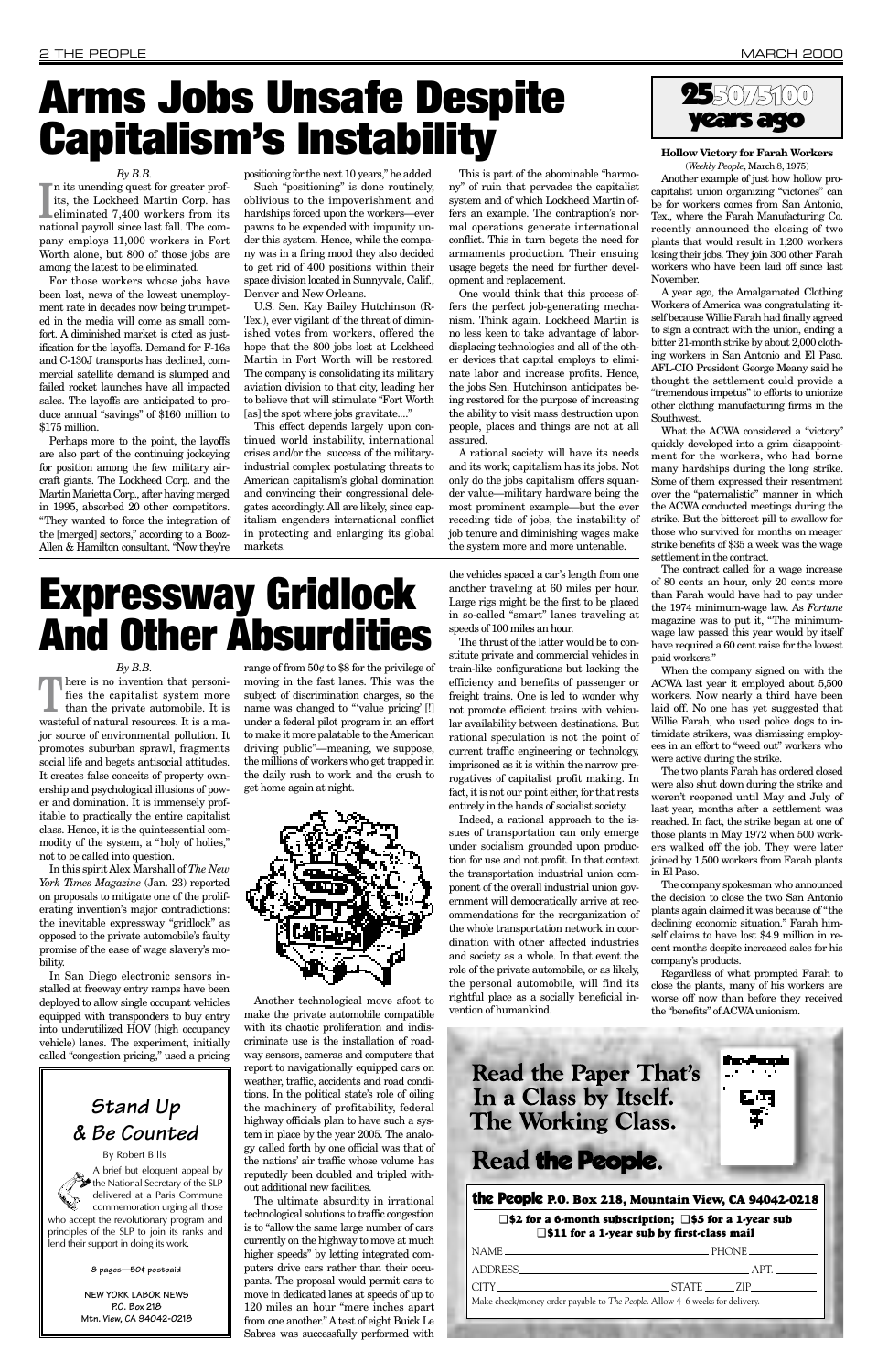#### *By B.B.*

its, the Lockheed Martin Corp. has<br>eliminated 7,400 workers from its<br>national payroll since last fall. The comn its unending quest for greater profits, the Lockheed Martin Corp. has eliminated 7,400 workers from its pany employs 11,000 workers in Fort Worth alone, but 800 of those jobs are among the latest to be eliminated.

For those workers whose jobs have been lost, news of the lowest unemployment rate in decades now being trumpeted in the media will come as small comfort. A diminished market is cited as justification for the layoffs. Demand for F-16s and C-130J transports has declined, commercial satellite demand is slumped and failed rocket launches have all impacted sales. The layoffs are anticipated to produce annual "savings" of \$160 million to \$175 million.

U.S. Sen. Kay Bailey Hutchinson (R-Tex.), ever vigilant of the threat of diminished votes from workers, offered the hope that the 800 jobs lost at Lockheed Martin in Fort Worth will be restored. The company is consolidating its military aviation division to that city, leading her to believe that will stimulate "Fort Worth [as] the spot where jobs gravitate...."

Perhaps more to the point, the layoffs are also part of the continuing jockeying for position among the few military aircraft giants. The Lockheed Corp. and the Martin Marietta Corp., after having merged in 1995, absorbed 20 other competitors. "They wanted to force the integration of the [merged] sectors," according to a Booz-Allen & Hamilton consultant. "Now they're

positioning for the next 10 years," he added.

Such "positioning" is done routinely, oblivious to the impoverishment and hardships forced upon the workers—ever pawns to be expended with impunity under this system. Hence, while the company was in a firing mood they also decided to get rid of 400 positions within their space division located in Sunnyvale, Calif., Denver and New Orleans.

There is no invention that personi-<br>fies the capitalist system more<br>than the private automobile. It is fies the capitalist system more wasteful of natural resources. It is a major source of environmental pollution. It promotes suburban sprawl, fragments social life and begets antisocial attitudes. It creates false conceits of property ownership and psychological illusions of power and domination. It is immensely profitable to practically the entire capitalist class. Hence, it is the quintessential commodity of the system, a "holy of holies," not to be called into question.

This effect depends largely upon continued world instability, international crises and/or the success of the militaryindustrial complex postulating threats to American capitalism's global domination and convincing their congressional delegates accordingly. All are likely, since capitalism engenders international conflict in protecting and enlarging its global markets.

This is part of the abominable "harmony" of ruin that pervades the capitalist system and of which Lockheed Martin offers an example. The contraption's normal operations generate international conflict. This in turn begets the need for armaments production. Their ensuing usage begets the need for further development and replacement.

One would think that this process offers the perfect job-generating mechanism. Think again. Lockheed Martin is no less keen to take advantage of labordisplacing technologies and all of the other devices that capital employs to eliminate labor and increase profits. Hence, the jobs Sen. Hutchinson anticipates being restored for the purpose of increasing the ability to visit mass destruction upon people, places and things are not at all assured.

A rational society will have its needs and its work; capitalism has its jobs. Not only do the jobs capitalism offers squander value—military hardware being the most prominent example—but the ever receding tide of jobs, the instability of job tenure and diminishing wages make the system more and more untenable.

## **Arms Jobs Unsafe Despite Capitalism's Instability**

#### *By B.B.*

In this spirit Alex Marshall of *The New York Times Magazine* (Jan. 23) reported on proposals to mitigate one of the proliferating invention's major contradictions: the inevitable expressway "gridlock" as opposed to the private automobile's faulty promise of the ease of wage slavery's mobility.

In San Diego electronic sensors installed at freeway entry ramps have been deployed to allow single occupant vehicles equipped with transponders to buy entry into underutilized HOV (high occupancy vehicle) lanes. The experiment, initially called "congestion pricing," used a pricing range of from 50¢ to \$8 for the privilege of moving in the fast lanes. This was the subject of discrimination charges, so the name was changed to "'value pricing' [!] under a federal pilot program in an effort to make it more palatable to the American driving public"—meaning, we suppose, the millions of workers who get trapped in the daily rush to work and the crush to get home again at night.



Another technological move afoot to make the private automobile compatible with its chaotic proliferation and indiscriminate use is the installation of roadway sensors, cameras and computers that report to navigationally equipped cars on weather, traffic, accidents and road conditions. In the political state's role of oiling the machinery of profitability, federal highway officials plan to have such a system in place by the year 2005. The analogy called forth by one official was that of the nations' air traffic whose volume has reputedly been doubled and tripled without additional new facilities. The ultimate absurdity in irrational technological solutions to traffic congestion is to "allow the same large number of cars currently on the highway to move at much higher speeds" by letting integrated computers drive cars rather than their occupants. The proposal would permit cars to move in dedicated lanes at speeds of up to 120 miles an hour "mere inches apart from one another." A test of eight Buick Le Sabres was successfully performed with

the vehicles spaced a car's length from one another traveling at 60 miles per hour. Large rigs might be the first to be placed in so-called "smart" lanes traveling at speeds of 100 miles an hour.

The thrust of the latter would be to constitute private and commercial vehicles in train-like configurations but lacking the efficiency and benefits of passenger or freight trains. One is led to wonder why not promote efficient trains with vehicular availability between destinations. But rational speculation is not the point of current traffic engineering or technology, imprisoned as it is within the narrow prerogatives of capitalist profit making. In fact, it is not our point either, for that rests entirely in the hands of socialist society.

Indeed, a rational approach to the issues of transportation can only emerge under socialism grounded upon production for use and not profit. In that context the transportation industrial union component of the overall industrial union government will democratically arrive at recommendations for the reorganization of the whole transportation network in coordination with other affected industries and society as a whole. In that event the role of the private automobile, or as likely, the personal automobile, will find its rightful place as a socially beneficial in-

vention of humankind.



**Hollow Victory for Farah Workers** (*Weekly People*, March 8, 1975)

Another example of just how hollow procapitalist union organizing "victories" can be for workers comes from San Antonio, Tex., where the Farah Manufacturing Co. recently announced the closing of two plants that would result in 1,200 workers losing their jobs. They join 300 other Farah workers who have been laid off since last November.

A year ago, the Amalgamated Clothing Workers of America was congratulating itself because Willie Farah had finally agreed to sign a contract with the union, ending a bitter 21-month strike by about 2,000 clothing workers in San Antonio and El Paso. AFL-CIO President George Meany said he thought the settlement could provide a "tremendous impetus" to efforts to unionize other clothing manufacturing firms in the Southwest.

What the ACWA considered a "victory" quickly developed into a grim disappointment for the workers, who had borne many hardships during the long strike. Some of them expressed their resentment over the "paternalistic" manner in which the ACWA conducted meetings during the strike. But the bitterest pill to swallow for those who survived for months on meager strike benefits of \$35 a week was the wage settlement in the contract.

The contract called for a wage increase of 80 cents an hour, only 20 cents more than Farah would have had to pay under the 1974 minimum-wage law. As *Fortune* magazine was to put it, "The minimumwage law passed this year would by itself have required a 60 cent raise for the lowest paid workers."

When the company signed on with the ACWA last year it employed about 5,500 workers. Now nearly a third have been laid off. No one has yet suggested that Willie Farah, who used police dogs to intimidate strikers, was dismissing employees in an effort to "weed out" workers who were active during the strike.

The two plants Farah has ordered closed were also shut down during the strike and weren't reopened until May and July of last year, months after a settlement was reached. In fact, the strike began at one of those plants in May 1972 when 500 workers walked off the job. They were later joined by 1,500 workers from Farah plants in El Paso.

The company spokesman who announced the decision to close the two San Antonio plants again claimed it was because of "the declining economic situation." Farah himself claims to have lost \$4.9 million in recent months despite increased sales for his company's products.

Regardless of what prompted Farah to close the plants, many of his workers are worse off now than before they received

the "benefits" of ACWAunionism.



# **Expressway Gridlock And Other Absurdities**

### *Stand Up & Be Counted*

A brief but eloquent appeal by the National Secretary of the SLP delivered at a Paris Commune commemoration urging all those who accept the revolutionary program and principles of the SLP to join its ranks and lend their support in doing its work.

By Robert Bills

**NEW YORK LABOR NEWS P.O. Box 218 Mtn. View, CA 94042-0218**

#### **8 pages—50¢ postpaid**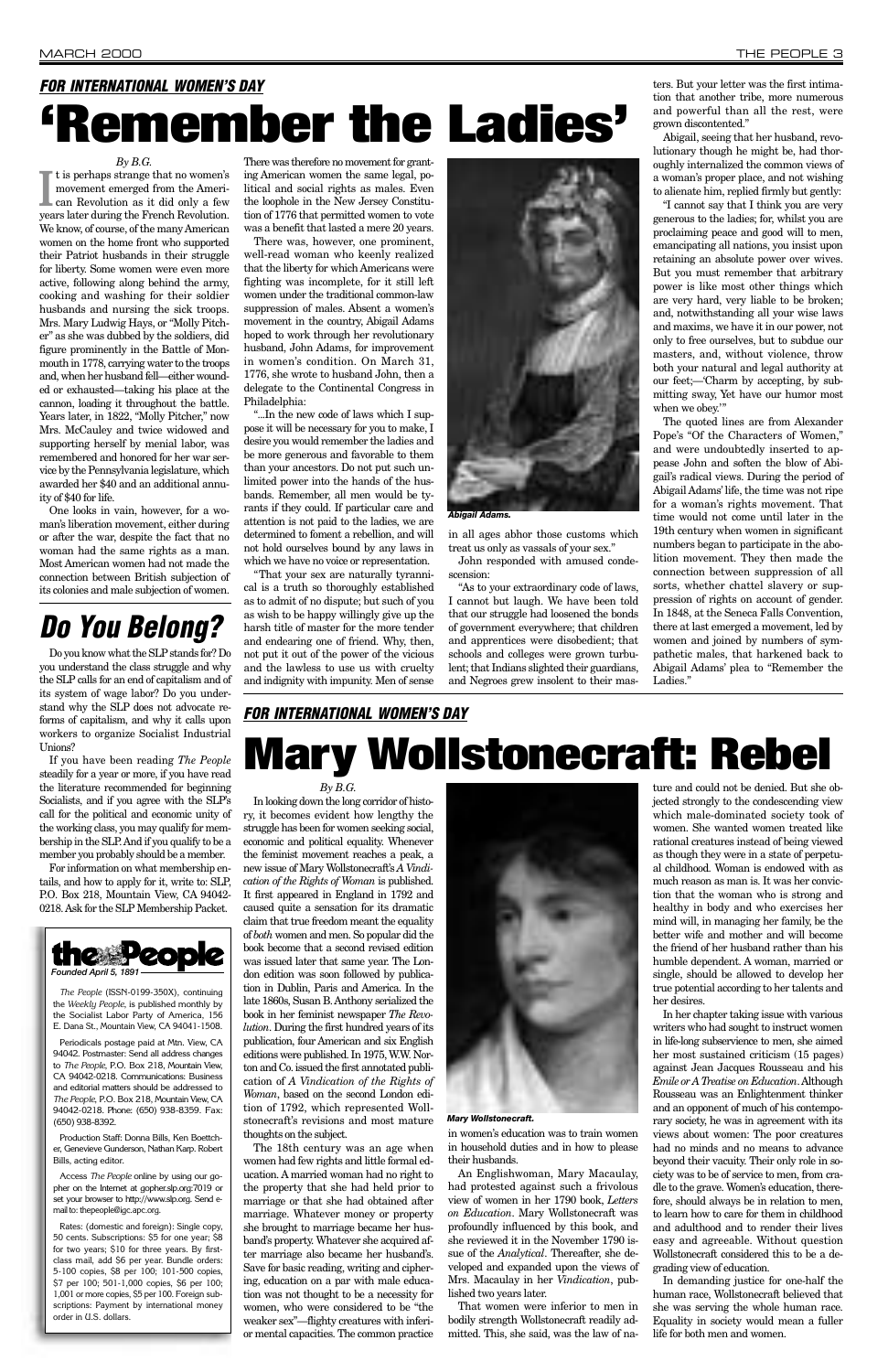#### *By B.G.*

movement emerged from the American Revolution as it did only a few years later during the French Revolution. t is perhaps strange that no women's movement emerged from the American Revolution as it did only a few We know, of course, of the many American women on the home front who supported their Patriot husbands in their struggle for liberty. Some women were even more active, following along behind the army, cooking and washing for their soldier husbands and nursing the sick troops. Mrs. Mary Ludwig Hays, or "Molly Pitcher" as she was dubbed by the soldiers, did figure prominently in the Battle of Monmouth in 1778, carrying water to the troops and, when her husband fell—either wounded or exhausted—taking his place at the cannon, loading it throughout the battle. Years later, in 1822, "Molly Pitcher," now Mrs. McCauley and twice widowed and supporting herself by menial labor, was remembered and honored for her war service by the Pennsylvania legislature, which awarded her \$40 and an additional annuity of \$40 for life.

One looks in vain, however, for a woman's liberation movement, either during or after the war, despite the fact that no woman had the same rights as a man. Most American women had not made the connection between British subjection of its colonies and male subjection of women.

There was therefore no movement for granting American women the same legal, political and social rights as males. Even the loophole in the New Jersey Constitution of 1776 that permitted women to vote was a benefit that lasted a mere 20 years.

There was, however, one prominent, well-read woman who keenly realized that the liberty for which Americans were fighting was incomplete, for it still left women under the traditional common-law suppression of males. Absent a women's movement in the country, Abigail Adams hoped to work through her revolutionary husband, John Adams, for improvement in women's condition. On March 31, 1776, she wrote to husband John, then a delegate to the Continental Congress in Philadelphia:

"...In the new code of laws which I suppose it will be necessary for you to make, I desire you would remember the ladies and be more generous and favorable to them than your ancestors. Do not put such unlimited power into the hands of the husbands. Remember, all men would be tyrants if they could. If particular care and attention is not paid to the ladies, we are determined to foment a rebellion, and will not hold ourselves bound by any laws in which we have no voice or representation.

"That your sex are naturally tyrannical is a truth so thoroughly established as to admit of no dispute; but such of you as wish to be happy willingly give up the harsh title of master for the more tender and endearing one of friend. Why, then, not put it out of the power of the vicious and the lawless to use us with cruelty and indignity with impunity. Men of sense



in all ages abhor those customs which treat us only as vassals of your sex."

John responded with amused condescension:

"As to your extraordinary code of laws, I cannot but laugh. We have been told that our struggle had loosened the bonds of government everywhere; that children and apprentices were disobedient; that schools and colleges were grown turbulent; that Indians slighted their guardians, and Negroes grew insolent to their masters. But your letter was the first intimation that another tribe, more numerous and powerful than all the rest, were grown discontented."

Abigail, seeing that her husband, revolutionary though he might be, had thoroughly internalized the common views of a woman's proper place, and not wishing to alienate him, replied firmly but gently:

"I cannot say that I think you are very generous to the ladies; for, whilst you are proclaiming peace and good will to men, emancipating all nations, you insist upon retaining an absolute power over wives. But you must remember that arbitrary power is like most other things which are very hard, very liable to be broken; and, notwithstanding all your wise laws and maxims, we have it in our power, not only to free ourselves, but to subdue our masters, and, without violence, throw both your natural and legal authority at our feet;—'Charm by accepting, by submitting sway, Yet have our humor most when we obey.'"

The quoted lines are from Alexander Pope's "Of the Characters of Women," and were undoubtedly inserted to appease John and soften the blow of Abigail's radical views. During the period of Abigail Adams' life, the time was not ripe for a woman's rights movement. That time would not come until later in the 19th century when women in significant numbers began to participate in the abolition movement. They then made the connection between suppression of all sorts, whether chattel slavery or suppression of rights on account of gender. In 1848, at the Seneca Falls Convention, there at last emerged a movement, led by women and joined by numbers of sympathetic males, that harkened back to Abigail Adams' plea to "Remember the Ladies."

*By B.G.*

In looking down the long corridor of history, it becomes evident how lengthy the struggle has been for women seeking social, economic and political equality. Whenever the feminist movement reaches a peak, a new issue of Mary Wollstonecraft's *A Vindication of the Rights of Woman* is published. It first appeared in England in 1792 and caused quite a sensation for its dramatic claim that true freedom meant the equality of *both* women and men. So popular did the book become that a second revised edition was issued later that same year. The London edition was soon followed by publication in Dublin, Paris and America. In the late 1860s, Susan B. Anthony serialized the book in her feminist newspaper *The Revolution*. During the first hundred years of its publication, four American and six English editions were published. In 1975, W.W. Norton and Co. issued the first annotated publication of *A Vindication of the Rights of Woman*, based on the second London edition of 1792, which represented Wollstonecraft's revisions and most mature thoughts on the subject. The 18th century was an age when women had few rights and little formal education. A married woman had no right to the property that she had held prior to marriage or that she had obtained after marriage. Whatever money or property she brought to marriage became her husband's property. Whatever she acquired after marriage also became her husband's. Save for basic reading, writing and ciphering, education on a par with male education was not thought to be a necessity for women, who were considered to be "the weaker sex"—flighty creatures with inferior mental capacities. The common practice



in women's education was to train women in household duties and in how to please their husbands.

An Englishwoman, Mary Macaulay, had protested against such a frivolous view of women in her 1790 book, *Letters on Education*. Mary Wollstonecraft was profoundly influenced by this book, and she reviewed it in the November 1790 issue of the *Analytical*. Thereafter, she developed and expanded upon the views of Mrs. Macaulay in her *Vindication*, published two years later.

That women were inferior to men in bodily strength Wollstonecraft readily admitted. This, she said, was the law of na-

ture and could not be denied. But she objected strongly to the condescending view which male-dominated society took of women. She wanted women treated like rational creatures instead of being viewed as though they were in a state of perpetual childhood. Woman is endowed with as much reason as man is. It was her conviction that the woman who is strong and healthy in body and who exercises her mind will, in managing her family, be the better wife and mother and will become the friend of her husband rather than his humble dependent. A woman, married or single, should be allowed to develop her true potential according to her talents and her desires. In her chapter taking issue with various writers who had sought to instruct women in life-long subservience to men, she aimed her most sustained criticism (15 pages) against Jean Jacques Rousseau and his *Emile or A Treatise on Education*. Although Rousseau was an Enlightenment thinker and an opponent of much of his contemporary society, he was in agreement with its views about women: The poor creatures had no minds and no means to advance beyond their vacuity. Their only role in society was to be of service to men, from cradle to the grave. Women's education, therefore, should always be in relation to men, to learn how to care for them in childhood and adulthood and to render their lives easy and agreeable. Without question Wollstonecraft considered this to be a degrading view of education. In demanding justice for one-half the human race, Wollstonecraft believed that she was serving the whole human race. Equality in society would mean a fuller life for both men and women.



*The People* (ISSN-0199-350X), continuing the *Weekly People*, is published monthly by the Socialist Labor Party of America, 156 E. Dana St., Mountain View, CA 94041-1508.

Periodicals postage paid at Mtn. View, CA 94042. Postmaster: Send all address changes to *The People*, P.O. Box 218, Mountain View, CA 94042-0218. Communications: Business and editorial matters should be addressed to *The People*, P.O. Box 218, Mountain View, CA 94042-0218. Phone: (650) 938-8359. Fax: (650) 938-8392.

Production Staff: Donna Bills, Ken Boettcher, Genevieve Gunderson, Nathan Karp. Robert Bills, acting editor.

Access *The People* online by using our gopher on the Internet at gopher.slp.org:7019 or set your browser to http://www.slp.org. Send email to: thepeople@igc.apc.org.

Rates: (domestic and foreign): Single copy, 50 cents. Subscriptions: \$5 for one year; \$8 for two years; \$10 for three years. By firstclass mail, add \$6 per year. Bundle orders: 5-100 copies, \$8 per 100; 101-500 copies, \$7 per 100; 501-1,000 copies, \$6 per 100; 1,001 or more copies, \$5 per 100. Foreign subscriptions: Payment by international money order in U.S. dollars.

*Abigail Adams.*

#### *Mary Wollstonecraft.*

## *FOR INTERNATIONAL WOMEN'S DAY* **'Remember the Ladies'**

*FOR INTERNATIONAL WOMEN'S DAY*

# **Mary Wollstonecraft: Rebel**

Do you know what the SLP stands for? Do you understand the class struggle and why the SLP calls for an end of capitalism and of its system of wage labor? Do you understand why the SLP does not advocate reforms of capitalism, and why it calls upon workers to organize Socialist Industrial Unions?

If you have been reading *The People* steadily for a year or more, if you have read the literature recommended for beginning Socialists, and if you agree with the SLP's call for the political and economic unity of the working class, you may qualify for membership in the SLP. And if you qualify to be a member you probably should be a member.

For information on what membership entails, and how to apply for it, write to: SLP, P.O. Box 218, Mountain View, CA 94042- 0218. Ask for the SLP Membership Packet.

## *Do You Belong?*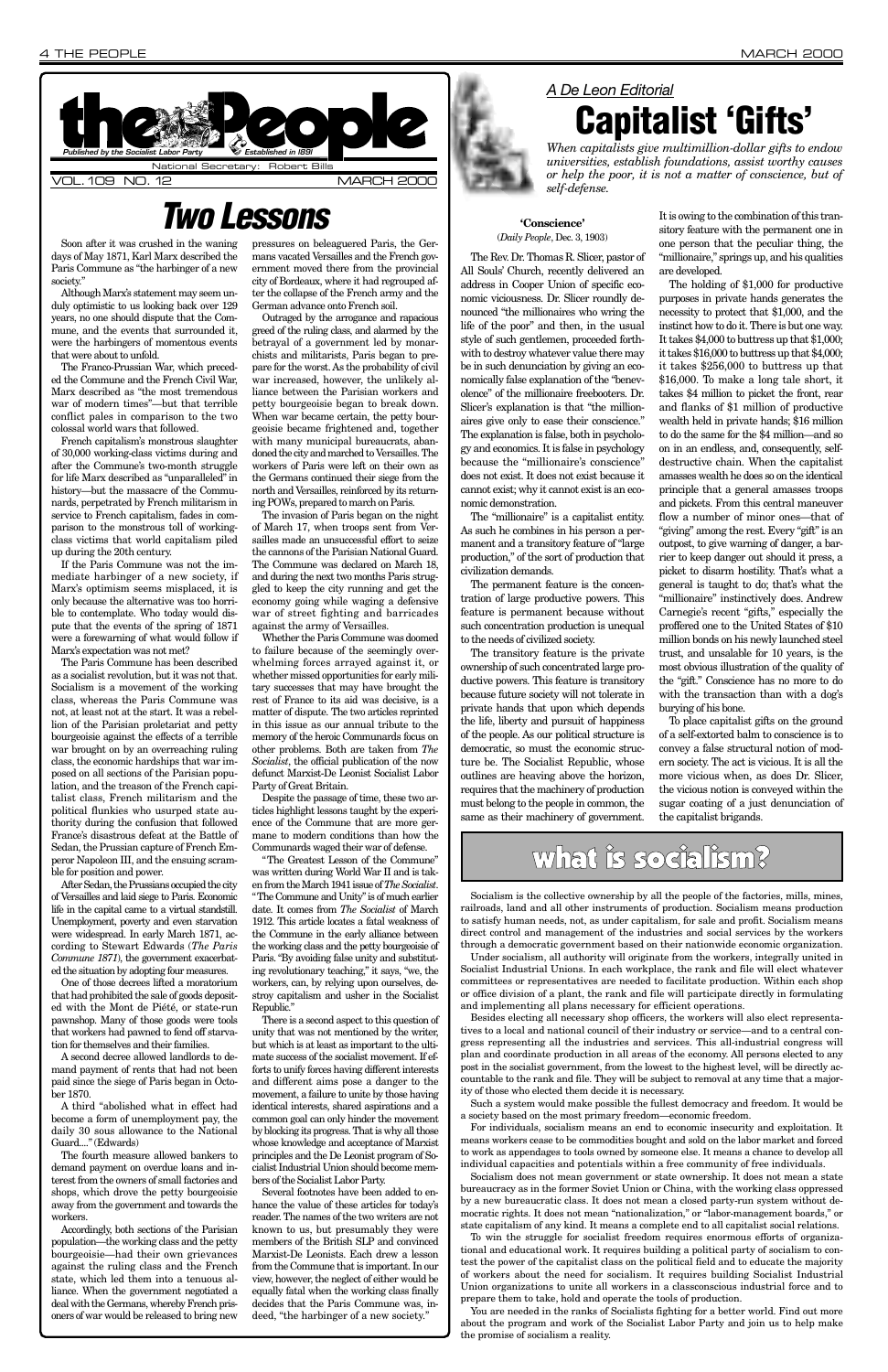Soon after it was crushed in the waning days of May 1871, Karl Marx described the Paris Commune as "the harbinger of a new society."

Although Marx's statement may seem unduly optimistic to us looking back over 129 years, no one should dispute that the Commune, and the events that surrounded it, were the harbingers of momentous events that were about to unfold.

The Franco-Prussian War, which preceded the Commune and the French Civil War, Marx described as "the most tremendous war of modern times"—but that terrible conflict pales in comparison to the two colossal world wars that followed.

French capitalism's monstrous slaughter of 30,000 working-class victims during and after the Commune's two-month struggle for life Marx described as "unparalleled" in history—but the massacre of the Communards, perpetrated by French militarism in service to French capitalism, fades in comparison to the monstrous toll of workingclass victims that world capitalism piled up during the 20th century.

If the Paris Commune was not the immediate harbinger of a new society, if Marx's optimism seems misplaced, it is only because the alternative was too horrible to contemplate. Who today would dispute that the events of the spring of 1871 were a forewarning of what would follow if Marx's expectation was not met?

The Paris Commune has been described as a socialist revolution, but it was not that. Socialism is a movement of the working class, whereas the Paris Commune was not, at least not at the start. It was a rebellion of the Parisian proletariat and petty bourgeoisie against the effects of a terrible war brought on by an overreaching ruling class, the economic hardships that war imposed on all sections of the Parisian population, and the treason of the French capitalist class, French militarism and the political flunkies who usurped state authority during the confusion that followed France's disastrous defeat at the Battle of Sedan, the Prussian capture of French Emperor Napoleon III, and the ensuing scramble for position and power.

After Sedan, the Prussians occupied the city of Versailles and laid siege to Paris. Economic life in the capital came to a virtual standstill. Unemployment, poverty and even starvation were widespread. In early March 1871, according to Stewart Edwards (*The Paris Commune 1871*), the government exacerbated the situation by adopting four measures.

One of those decrees lifted a moratorium that had prohibited the sale of goods deposited with the Mont de Piété, or state-run pawnshop. Many of those goods were tools that workers had pawned to fend off starvation for themselves and their families. A second decree allowed landlords to demand payment of rents that had not been paid since the siege of Paris began in October 1870.

A third "abolished what in effect had become a form of unemployment pay, the daily 30 sous allowance to the National Guard...." (Edwards)

The fourth measure allowed bankers to demand payment on overdue loans and interest from the owners of small factories and shops, which drove the petty bourgeoisie away from the government and towards the workers.

Accordingly, both sections of the Parisian population—the working class and the petty bourgeoisie—had their own grievances against the ruling class and the French state, which led them into a tenuous alliance. When the government negotiated a deal with the Germans, whereby French prisoners of war would be released to bring new

pressures on beleaguered Paris, the Germans vacated Versailles and the French government moved there from the provincial city of Bordeaux, where it had regrouped after the collapse of the French army and the German advance onto French soil.

Outraged by the arrogance and rapacious greed of the ruling class, and alarmed by the betrayal of a government led by monarchists and militarists, Paris began to prepare for the worst. As the probability of civil war increased, however, the unlikely alliance between the Parisian workers and petty bourgeoisie began to break down. When war became certain, the petty bourgeoisie became frightened and, together with many municipal bureaucrats, abandoned the city and marched to Versailles. The workers of Paris were left on their own as the Germans continued their siege from the north and Versailles, reinforced by its returning POWs, prepared to march on Paris.

The invasion of Paris began on the night of March 17, when troops sent from Versailles made an unsuccessful effort to seize the cannons of the Parisian National Guard. The Commune was declared on March 18, and during the next two months Paris struggled to keep the city running and get the economy going while waging a defensive war of street fighting and barricades against the army of Versailles.

Whether the Paris Commune was doomed to failure because of the seemingly overwhelming forces arrayed against it, or whether missed opportunities for early military successes that may have brought the rest of France to its aid was decisive, is a matter of dispute. The two articles reprinted in this issue as our annual tribute to the memory of the heroic Communards focus on other problems. Both are taken from *The Socialist*, the official publication of the now defunct Marxist-De Leonist Socialist Labor Party of Great Britain.



Despite the passage of time, these two articles highlight lessons taught by the experience of the Commune that are more germane to modern conditions than how the Communards waged their war of defense.

"The Greatest Lesson of the Commune" was written during World War II and is taken from the March 1941 issue of *The Socialist*. "The Commune and Unity" is of much earlier date. It comes from *The Socialist* of March 1912. This article locates a fatal weakness of the Commune in the early alliance between the working class and the petty bourgeoisie of Paris. "By avoiding false unity and substituting revolutionary teaching," it says, "we, the workers, can, by relying upon ourselves, destroy capitalism and usher in the Socialist Republic."

There is a second aspect to this question of unity that was not mentioned by the writer, but which is at least as important to the ultimate success of the socialist movement. If efforts to unify forces having different interests and different aims pose a danger to the movement, a failure to unite by those having identical interests, shared aspirations and a common goal can only hinder the movement by blocking its progress. That is why all those whose knowledge and acceptance of Marxist principles and the De Leonist program of Socialist Industrial Union should become members of the Socialist Labor Party.

Several footnotes have been added to enhance the value of these articles for today's reader. The names of the two writers are not known to us, but presumably they were members of the British SLP and convinced Marxist-De Leonists. Each drew a lesson from the Commune that is important. In our view, however, the neglect of either would be equally fatal when the working class finally decides that the Paris Commune was, indeed, "the harbinger of a new society."

#### **'Conscience'** (*Daily People*, Dec. 3, 1903)

The Rev. Dr. Thomas R. Slicer, pastor of All Souls' Church, recently delivered an address in Cooper Union of specific economic viciousness. Dr. Slicer roundly denounced "the millionaires who wring the life of the poor" and then, in the usual style of such gentlemen, proceeded forthwith to destroy whatever value there may be in such denunciation by giving an economically false explanation of the "benevolence" of the millionaire freebooters. Dr. Slicer's explanation is that "the millionaires give only to ease their conscience." The explanation is false, both in psychology and economics. It is false in psychology because the "millionaire's conscience" does not exist. It does not exist because it cannot exist; why it cannot exist is an economic demonstration.

The "millionaire" is a capitalist entity. As such he combines in his person a permanent and a transitory feature of "large production," of the sort of production that civilization demands.

The permanent feature is the concentration of large productive powers. This feature is permanent because without such concentration production is unequal to the needs of civilized society.

The transitory feature is the private ownership of such concentrated large productive powers. This feature is transitory because future society will not tolerate in private hands that upon which depends the life, liberty and pursuit of happiness of the people. As our political structure is democratic, so must the economic structure be. The Socialist Republic, whose outlines are heaving above the horizon, requires that the machinery of production must belong to the people in common, the same as their machinery of government.

It is owing to the combination of this transitory feature with the permanent one in one person that the peculiar thing, the "millionaire," springs up, and his qualities are developed.

The holding of \$1,000 for productive purposes in private hands generates the necessity to protect that \$1,000, and the instinct how to do it. There is but one way. It takes \$4,000 to buttress up that \$1,000; it takes \$16,000 to buttress up that \$4,000; it takes \$256,000 to buttress up that \$16,000. To make a long tale short, it takes \$4 million to picket the front, rear and flanks of \$1 million of productive wealth held in private hands; \$16 million to do the same for the \$4 million—and so on in an endless, and, consequently, selfdestructive chain. When the capitalist amasses wealth he does so on the identical principle that a general amasses troops and pickets. From this central maneuver flow a number of minor ones—that of "giving" among the rest. Every "gift" is an outpost, to give warning of danger, a barrier to keep danger out should it press, a picket to disarm hostility. That's what a general is taught to do; that's what the "millionaire" instinctively does. Andrew Carnegie's recent "gifts," especially the proffered one to the United States of \$10 million bonds on his newly launched steel trust, and unsalable for 10 years, is the most obvious illustration of the quality of the "gift." Conscience has no more to do with the transaction than with a dog's burying of his bone.

To place capitalist gifts on the ground of a self-extorted balm to conscience is to convey a false structural notion of modern society. The act is vicious. It is all the more vicious when, as does Dr. Slicer, the vicious notion is conveyed within the sugar coating of a just denunciation of the capitalist brigands.

## what is socialism?

## *Two Lessons*

### *A De Leon Editorial* **Capitalist 'Gifts'**

*When capitalists give multimillion-dollar gifts to endow universities, establish foundations, assist worthy causes or help the poor, it is not a matter of conscience, but of self-defense.*

Socialism is the collective ownership by all the people of the factories, mills, mines, railroads, land and all other instruments of production. Socialism means production to satisfy human needs, not, as under capitalism, for sale and profit. Socialism means direct control and management of the industries and social services by the workers through a democratic government based on their nationwide economic organization.

Under socialism, all authority will originate from the workers, integrally united in Socialist Industrial Unions. In each workplace, the rank and file will elect whatever committees or representatives are needed to facilitate production. Within each shop or office division of a plant, the rank and file will participate directly in formulating and implementing all plans necessary for efficient operations. Besides electing all necessary shop officers, the workers will also elect representatives to a local and national council of their industry or service—and to a central congress representing all the industries and services. This all-industrial congress will plan and coordinate production in all areas of the economy. All persons elected to any post in the socialist government, from the lowest to the highest level, will be directly accountable to the rank and file. They will be subject to removal at any time that a majority of those who elected them decide it is necessary.

Such a system would make possible the fullest democracy and freedom. It would be a society based on the most primary freedom—economic freedom.

For individuals, socialism means an end to economic insecurity and exploitation. It means workers cease to be commodities bought and sold on the labor market and forced to work as appendages to tools owned by someone else. It means a chance to develop all individual capacities and potentials within a free community of free individuals.

Socialism does not mean government or state ownership. It does not mean a state bureaucracy as in the former Soviet Union or China, with the working class oppressed by a new bureaucratic class. It does not mean a closed party-run system without democratic rights. It does not mean "nationalization," or "labor-management boards," or state capitalism of any kind. It means a complete end to all capitalist social relations.

To win the struggle for socialist freedom requires enormous efforts of organizational and educational work. It requires building a political party of socialism to contest the power of the capitalist class on the political field and to educate the majority of workers about the need for socialism. It requires building Socialist Industrial Union organizations to unite all workers in a classconscious industrial force and to prepare them to take, hold and operate the tools of production.

You are needed in the ranks of Socialists fighting for a better world. Find out more about the program and work of the Socialist Labor Party and join us to help make the promise of socialism a reality.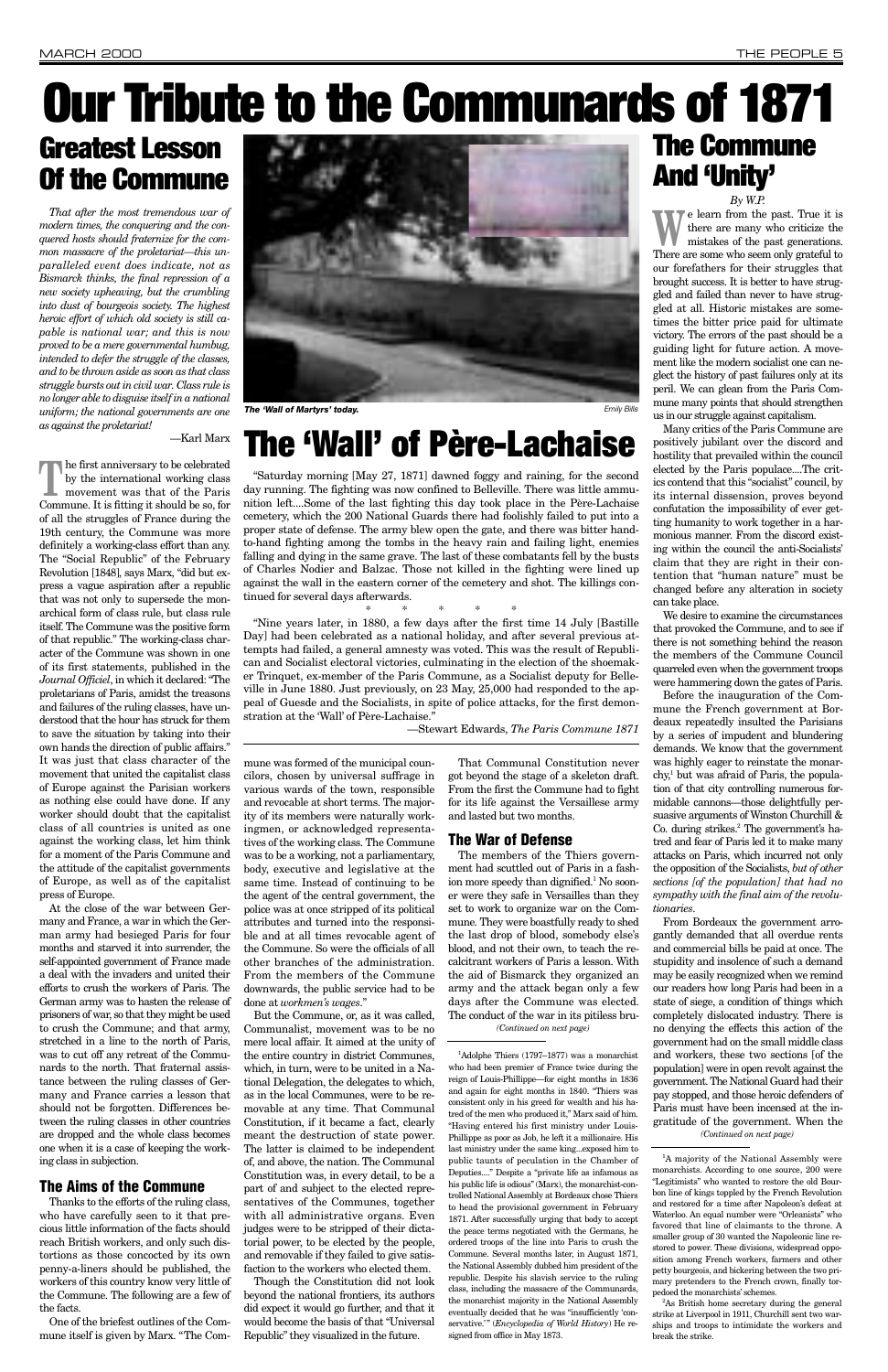## **The Commune And 'Unity'**

#### *By W.P.*

**W**e learn from the past. True it is<br>there are many who criticize the<br>mistakes of the past generations. there are many who criticize the mistakes of the past generations. There are some who seem only grateful to our forefathers for their struggles that brought success. It is better to have struggled and failed than never to have struggled at all. Historic mistakes are sometimes the bitter price paid for ultimate victory. The errors of the past should be a guiding light for future action. A movement like the modern socialist one can neglect the history of past failures only at its peril. We can glean from the Paris Commune many points that should strengthen us in our struggle against capitalism.

Many critics of the Paris Commune are positively jubilant over the discord and hostility that prevailed within the council elected by the Paris populace....The critics contend that this "socialist" council, by its internal dissension, proves beyond confutation the impossibility of ever getting humanity to work together in a harmonious manner. From the discord existing within the council the anti-Socialists' claim that they are right in their contention that "human nature" must be changed before any alteration in society can take place.

We desire to examine the circumstances that provoked the Commune, and to see if there is not something behind the reason the members of the Commune Council quarreled even when the government troops were hammering down the gates of Paris.

Before the inauguration of the Commune the French government at Bordeaux repeatedly insulted the Parisians by a series of impudent and blundering demands. We know that the government was highly eager to reinstate the monarchy,1 but was afraid of Paris, the population of that city controlling numerous formidable cannons—those delightfully persuasive arguments of Winston Churchill & Co. during strikes.2 The government's hatred and fear of Paris led it to make many attacks on Paris, which incurred not only the opposition of the Socialists, *but of other sections [of the population] that had no sympathy with the final aim of the revolutionaries*.

**The first anniversary to be celebrated**<br>by the international working class<br>movement was that of the Paris by the international working class movement was that of the Paris Commune. It is fitting it should be so, for of all the struggles of France during the 19th century, the Commune was more definitely a working-class effort than any. The "Social Republic" of the February Revolution [1848], says Marx, "did but express a vague aspiration after a republic that was not only to supersede the monarchical form of class rule, but class rule itself. The Commune was the positive form of that republic." The working-class character of the Commune was shown in one of its first statements, published in the *Journal Officiel*, in which it declared: "The proletarians of Paris, amidst the treasons and failures of the ruling classes, have understood that the hour has struck for them to save the situation by taking into their own hands the direction of public affairs." It was just that class character of the movement that united the capitalist class of Europe against the Parisian workers as nothing else could have done. If any worker should doubt that the capitalist class of all countries is united as one against the working class, let him think for a moment of the Paris Commune and the attitude of the capitalist governments of Europe, as well as of the capitalist press of Europe.

## **Greatest Lesson Of the Commune**

*That after the most tremendous war of modern times, the conquering and the conquered hosts should fraternize for the common massacre of the proletariat—this unparalleled event does indicate, not as Bismarck thinks, the final repression of a new society upheaving, but the crumbling into dust of bourgeois society. The highest heroic effort of which old society is still capable is national war; and this is now proved to be a mere governmental humbug, intended to defer the struggle of the classes, and to be thrown aside as soon as that class struggle bursts out in civil war. Class rule is no longer able to disguise itself in a national uniform; the national governments are one as against the proletariat!*

—Karl Marx

At the close of the war between Germany and France, a war in which the German army had besieged Paris for four months and starved it into surrender, the self-appointed government of France made a deal with the invaders and united their efforts to crush the workers of Paris. The German army was to hasten the release of prisoners of war, so that they might be used to crush the Commune; and that army, stretched in a line to the north of Paris, was to cut off any retreat of the Communards to the north. That fraternal assistance between the ruling classes of Germany and France carries a lesson that should not be forgotten. Differences between the ruling classes in other countries are dropped and the whole class becomes one when it is a case of keeping the working class in subjection.

### **The Aims of the Commune**

Thanks to the efforts of the ruling class, who have carefully seen to it that precious little information of the facts should reach British workers, and only such distortions as those concocted by its own penny-a-liners should be published, the workers of this country know very little of the Commune. The following are a few of the facts.

<sup>1</sup>A majority of the National Assembly were monarchists. According to one source, 200 were "Legitimists" who wanted to restore the old Bourbon line of kings toppled by the French Revolution and restored for a time after Napoleon's defeat at Waterloo. An equal number were "Orleanists" who favored that line of claimants to the throne. A smaller group of 30 wanted the Napoleonic line restored to power. These divisions, widespread opposition among French workers, farmers and other petty bourgeois, and bickering between the two primary pretenders to the French crown, finally torpedoed the monarchists' schemes.

One of the briefest outlines of the Commune itself is given by Marx. "The Commune was formed of the municipal councilors, chosen by universal suffrage in various wards of the town, responsible and revocable at short terms. The majority of its members were naturally workingmen, or acknowledged representatives of the working class. The Commune was to be a working, not a parliamentary, body, executive and legislative at the same time. Instead of continuing to be the agent of the central government, the police was at once stripped of its political attributes and turned into the responsible and at all times revocable agent of the Commune. So were the officials of all other branches of the administration. From the members of the Commune downwards, the public service had to be done at *workmen's wages*." But the Commune, or, as it was called, Communalist, movement was to be no mere local affair. It aimed at the unity of the entire country in district Communes, which, in turn, were to be united in a National Delegation, the delegates to which, as in the local Communes, were to be removable at any time. That Communal Constitution, if it became a fact, clearly meant the destruction of state power. The latter is claimed to be independent of, and above, the nation. The Communal Constitution was, in every detail, to be a part of and subject to the elected representatives of the Communes, together with all administrative organs. Even judges were to be stripped of their dictatorial power, to be elected by the people, and removable if they failed to give satisfaction to the workers who elected them. Though the Constitution did not look beyond the national frontiers, its authors did expect it would go further, and that it would become the basis of that "Universal Republic" they visualized in the future.

From Bordeaux the government arrogantly demanded that all overdue rents and commercial bills be paid at once. The stupidity and insolence of such a demand may be easily recognized when we remind our readers how long Paris had been in a state of siege, a condition of things which completely dislocated industry. There is no denying the effects this action of the government had on the small middle class and workers, these two sections [of the population] were in open revolt against the government. The National Guard had their pay stopped, and those heroic defenders of Paris must have been incensed at the ingratitude of the government. When the *(Continued on next page)*

That Communal Constitution never got beyond the stage of a skeleton draft. From the first the Commune had to fight for its life against the Versaillese army and lasted but two months.

#### **The War of Defense**

# **Our Tribute to the Communards of 1871**

## **The 'Wall' of Père-Lachaise**

"Saturday morning [May 27, 1871] dawned foggy and raining, for the second day running. The fighting was now confined to Belleville. There was little ammunition left....Some of the last fighting this day took place in the Père-Lachaise cemetery, which the 200 National Guards there had foolishly failed to put into a proper state of defense. The army blew open the gate, and there was bitter handto-hand fighting among the tombs in the heavy rain and failing light, enemies falling and dying in the same grave. The last of these combatants fell by the busts of Charles Nodier and Balzac. Those not killed in the fighting were lined up against the wall in the eastern corner of the cemetery and shot. The killings continued for several days afterwards.

\*\*\*\*\* "Nine years later, in 1880, a few days after the first time 14 July [Bastille Day] had been celebrated as a national holiday, and after several previous attempts had failed, a general amnesty was voted. This was the result of Republican and Socialist electoral victories, culminating in the election of the shoemaker Trinquet, ex-member of the Paris Commune, as a Socialist deputy for Belleville in June 1880. Just previously, on 23 May, 25,000 had responded to the appeal of Guesde and the Socialists, in spite of police attacks, for the first demonstration at the 'Wall' of Père-Lachaise."

—Stewart Edwards, *The Paris Commune 1871*



The members of the Thiers government had scuttled out of Paris in a fashion more speedy than dignified.<sup>1</sup> No sooner were they safe in Versailles than they set to work to organize war on the Commune. They were boastfully ready to shed the last drop of blood, somebody else's blood, and not their own, to teach the recalcitrant workers of Paris a lesson. With the aid of Bismarck they organized an army and the attack began only a few days after the Commune was elected. The conduct of the war in its pitiless bru-*(Continued on next page)*

1 Adolphe Thiers (1797–1877) was a monarchist who had been premier of France twice during the reign of Louis-Phillippe—for eight months in 1836 and again for eight months in 1840. "Thiers was consistent only in his greed for wealth and his hatred of the men who produced it," Marx said of him. "Having entered his first ministry under Louis-Phillippe as poor as Job, he left it a millionaire. His last ministry under the same king...exposed him to public taunts of peculation in the Chamber of Deputies...." Despite a "private life as infamous as his public life is odious" (Marx), the monarchist-controlled National Assembly at Bordeaux chose Thiers to head the provisional government in February 1871. After successfully urging that body to accept the peace terms negotiated with the Germans, he ordered troops of the line into Paris to crush the Commune. Several months later, in August 1871, the National Assembly dubbed him president of the republic. Despite his slavish service to the ruling class, including the massacre of the Communards, the monarchist majority in the National Assembly eventually decided that he was "insufficiently 'conservative.'" (*Encyclopedia of World History*) He resigned from office in May 1873.

2 As British home secretary during the general strike at Liverpool in 1911, Churchill sent two warships and troops to intimidate the workers and break the strike.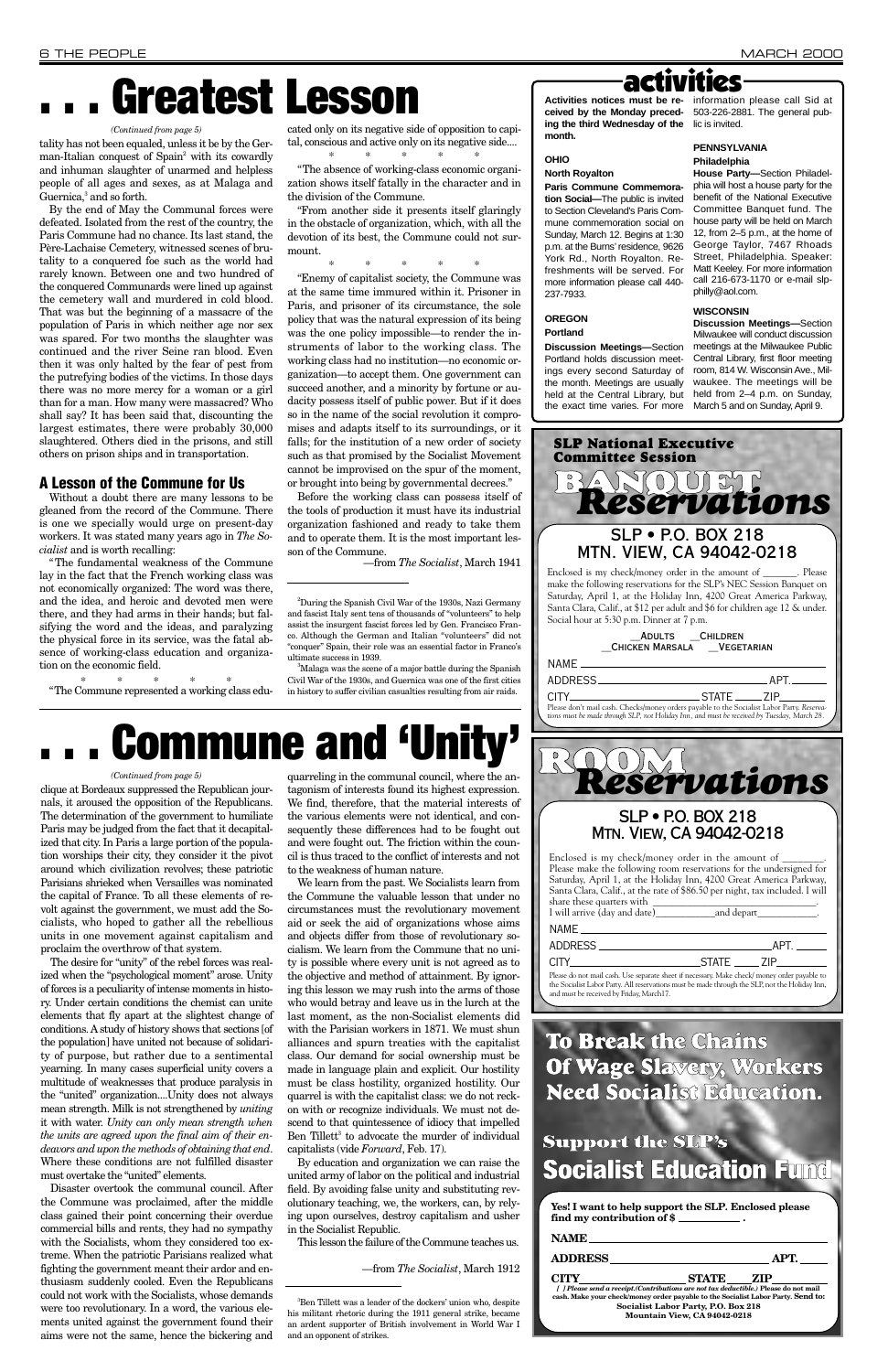clique at Bordeaux suppressed the Republican journals, it aroused the opposition of the Republicans. The determination of the government to humiliate Paris may be judged from the fact that it decapitalized that city. In Paris a large portion of the population worships their city, they consider it the pivot around which civilization revolves; these patriotic Parisians shrieked when Versailles was nominated the capital of France. To all these elements of revolt against the government, we must add the Socialists, who hoped to gather all the rebellious units in one movement against capitalism and proclaim the overthrow of that system.

The desire for "unity" of the rebel forces was realized when the "psychological moment" arose. Unity of forces is a peculiarity of intense moments in history. Under certain conditions the chemist can unite elements that fly apart at the slightest change of conditions. A study of history shows that sections [of the population] have united not because of solidarity of purpose, but rather due to a sentimental yearning. In many cases superficial unity covers a multitude of weaknesses that produce paralysis in the "united" organization....Unity does not always mean strength. Milk is not strengthened by *uniting* it with water. *Unity can only mean strength when the units are agreed upon the final aim of their endeavors and upon the methods of obtaining that end*. Where these conditions are not fulfilled disaster must overtake the "united" elements. Disaster overtook the communal council. After the Commune was proclaimed, after the middle class gained their point concerning their overdue commercial bills and rents, they had no sympathy with the Socialists, whom they considered too extreme. When the patriotic Parisians realized what fighting the government meant their ardor and enthusiasm suddenly cooled. Even the Republicans could not work with the Socialists, whose demands were too revolutionary. In a word, the various elements united against the government found their aims were not the same, hence the bickering and

tality has not been equaled, unless it be by the German-Italian conquest of Spain<sup>2</sup> with its cowardly and inhuman slaughter of unarmed and helpless people of all ages and sexes, as at Malaga and Guernica,<sup>3</sup> and so forth.

> quarreling in the communal council, where the antagonism of interests found its highest expression. We find, therefore, that the material interests of the various elements were not identical, and consequently these differences had to be fought out and were fought out. The friction within the council is thus traced to the conflict of interests and not to the weakness of human nature.

> We learn from the past. We Socialists learn from the Commune the valuable lesson that under no circumstances must the revolutionary movement aid or seek the aid of organizations whose aims and objects differ from those of revolutionary socialism. We learn from the Commune that no unity is possible where every unit is not agreed as to the objective and method of attainment. By ignoring this lesson we may rush into the arms of those who would betray and leave us in the lurch at the last moment, as the non-Socialist elements did with the Parisian workers in 1871. We must shun alliances and spurn treaties with the capitalist class. Our demand for social ownership must be made in language plain and explicit. Our hostility must be class hostility, organized hostility. Our quarrel is with the capitalist class: we do not reckon with or recognize individuals. We must not descend to that quintessence of idiocy that impelled Ben Tillett<sup>3</sup> to advocate the murder of individual capitalists (vide *Forward*, Feb. 17).

## **ACTIVITIES**<br>Activities notices must be re- information please call Sid at

By education and organization we can raise the united army of labor on the political and industrial field. By avoiding false unity and substituting revolutionary teaching, we, the workers, can, by relying upon ourselves, destroy capitalism and usher in the Socialist Republic.

This lesson the failure of the Commune teaches us.

—from *The Socialist*, March 1912

3 Ben Tillett was a leader of the dockers' union who, despite his militant rhetoric during the 1911 general strike, became an ardent supporter of British involvement in World War I and an opponent of strikes.

<sup>3</sup>Malaga was the scene of a major battle during the Spanish Civil War of the 1930s, and Guernica was one of the first cities in history to suffer civilian casualties resulting from air raids.

## **. . . Greatest Lesson**

held at the Central Library, but held from 2-4 p.m. on Sunday, the exact time varies. For more March 5 and on Sunday, April 9. **Discussion Meetings—**Section Milwaukee will conduct discussion meetings at the Milwaukee Public Central Library, first floor meeting room, 814 W. Wisconsin Ave., Milwaukee. The meetings will be

By the end of May the Communal forces were defeated. Isolated from the rest of the country, the Paris Commune had no chance. Its last stand, the Père-Lachaise Cemetery, witnessed scenes of brutality to a conquered foe such as the world had rarely known. Between one and two hundred of the conquered Communards were lined up against the cemetery wall and murdered in cold blood. That was but the beginning of a massacre of the population of Paris in which neither age nor sex was spared. For two months the slaughter was continued and the river Seine ran blood. Even then it was only halted by the fear of pest from the putrefying bodies of the victims. In those days there was no more mercy for a woman or a girl than for a man. How many were massacred? Who shall say? It has been said that, discounting the largest estimates, there were probably 30,000 slaughtered. Others died in the prisons, and still others on prison ships and in transportation.

> Enclosed is my check/money order in the amount of Please make the following room reservations for the undersigned for Saturday, April 1, at the Holiday Inn, 4200 Great America Parkway, Santa Clara, Calif., at the rate of \$86.50 per night, tax included. I will share these quarters with \_\_\_\_\_\_\_\_\_\_\_\_\_\_\_\_\_\_\_\_\_\_\_\_\_\_\_\_\_\_\_\_\_. I will arrive (day and date)\_\_\_\_\_\_\_\_\_\_\_\_and depart\_\_\_\_\_\_\_\_\_\_\_\_. NAME ADDRESS APT. CITY STATE ZIP

#### **A Lesson of the Commune for Us**

Without a doubt there are many lessons to be gleaned from the record of the Commune. There is one we specially would urge on present-day workers. It was stated many years ago in *The Socialist* and is worth recalling:

"The fundamental weakness of the Commune lay in the fact that the French working class was not economically organized: The word was there, and the idea, and heroic and devoted men were there, and they had arms in their hands; but falsifying the word and the ideas, and paralyzing the physical force in its service, was the fatal absence of working-class education and organization on the economic field.

 $\begin{array}{cc} * & * & * \\ * & * & * \\ * & * & * \\ * & * & * \end{array}$ 

cated only on its negative side of opposition to capital, conscious and active only on its negative side....

\*\*\*\*\* "The absence of working-class economic organization shows itself fatally in the character and in the division of the Commune.

"From another side it presents itself glaringly in the obstacle of organization, which, with all the devotion of its best, the Commune could not surmount.

\*\*\*\*\* "Enemy of capitalist society, the Commune was at the same time immured within it. Prisoner in Paris, and prisoner of its circumstance, the sole policy that was the natural expression of its being was the one policy impossible—to render the instruments of labor to the working class. The working class had no institution—no economic or-

ganization—to accept them. One government can succeed another, and a minority by fortune or audacity possess itself of public power. But if it does so in the name of the social revolution it compromises and adapts itself to its surroundings, or it falls; for the institution of a new order of society such as that promised by the Socialist Movement cannot be improvised on the spur of the moment, or brought into being by governmental decrees."

Before the working class can possess itself of the tools of production it must have its industrial organization fashioned and ready to take them and to operate them. It is the most important lesson of the Commune.

—from *The Socialist*, March 1941

**ceived by the Monday preced-**503-226-2881. The general pub**ing the third Wednesday of the** lic is invited. **month.**

#### **OHIO**

#### **North Royalton**

**Paris Commune Commemoration Social—**The public is invited to Section Cleveland's Paris Commune commemoration social on Sunday, March 12. Begins at 1:30 p.m. at the Burns' residence, 9626 York Rd., North Royalton. Refreshments will be served. For more information please call 440- 237-7933.

### **OREGON**

#### **Portland**

**Discussion Meetings—**Section Portland holds discussion meetings every second Saturday of the month. Meetings are usually

#### **PENNSYLVANIA**

#### **Philadelphia**

**House Party—**Section Philadelphia will host a house party for the benefit of the National Executive Committee Banquet fund. The house party will be held on March 12, from 2–5 p.m., at the home of George Taylor, 7467 Rhoads Street, Philadelphia. Speaker: Matt Keeley. For more information call 216-673-1170 or e-mail slpphilly@aol.com.

#### **WISCONSIN**

#### *(Continued from page 5)*

# **. . . Commune and 'Unity'**

#### *(Continued from page 5)*

### **To Break the Chains Of Wage Slavery, Workers Need Socialist Education.**

### **Support the SLP's Socialist Education Fund**

**Yes! I want to help support the SLP***.* **Enclosed please find my contribution of \$ .**

| NAME                                                                                                                                                                      |                                     |      |
|---------------------------------------------------------------------------------------------------------------------------------------------------------------------------|-------------------------------------|------|
| <b>ADDRESS</b>                                                                                                                                                            |                                     | APT. |
| CITY                                                                                                                                                                      | <b>STATE</b>                        | ZIP  |
| [ ] Please send a receipt. (Contributions are not tax deductible.) Please do not mail<br>cash. Make your check/money order payable to the Socialist Labor Party. Send to: |                                     |      |
|                                                                                                                                                                           | Socialist Labor Party, P.O. Box 218 |      |
|                                                                                                                                                                           | Mountain View, CA 94042-0218        |      |
|                                                                                                                                                                           |                                     |      |

#### SLP • P.O. BOX 218 Mtn. View, CA 94042-0218

Please do not mail cash. Use separate sheet if necessary. Make check/ money order payable to the Socialist Labor Party. All reservations must be made through the SLP, not the Holiday Inn, and must be received by Friday, March17.

|               | ADULTS CHILDREN<br>CHICKEN MARSALA VEGETARIAN                                                                                                                                             |         |
|---------------|-------------------------------------------------------------------------------------------------------------------------------------------------------------------------------------------|---------|
| NAME.         |                                                                                                                                                                                           |         |
| ADDRESS_      |                                                                                                                                                                                           | .APT.__ |
| CITY THE CITY |                                                                                                                                                                                           |         |
|               | Please don't mail cash. Checks/money orders payable to the Socialist Labor Party. Reserva-<br>tions must be made through SLP, not Holiday Inn, and must be received by Tuesday, March 28. |         |
|               | eservations                                                                                                                                                                               |         |
|               |                                                                                                                                                                                           |         |
|               |                                                                                                                                                                                           |         |



<sup>&</sup>lt;sup>2</sup>During the Spanish Civil War of the 1930s, Nazi Germany and fascist Italy sent tens of thousands of "volunteers" to help assist the insurgent fascist forces led by Gen. Francisco Franco. Although the German and Italian "volunteers" did not "conquer" Spain, their role was an essential factor in Franco's ultimate success in 1939.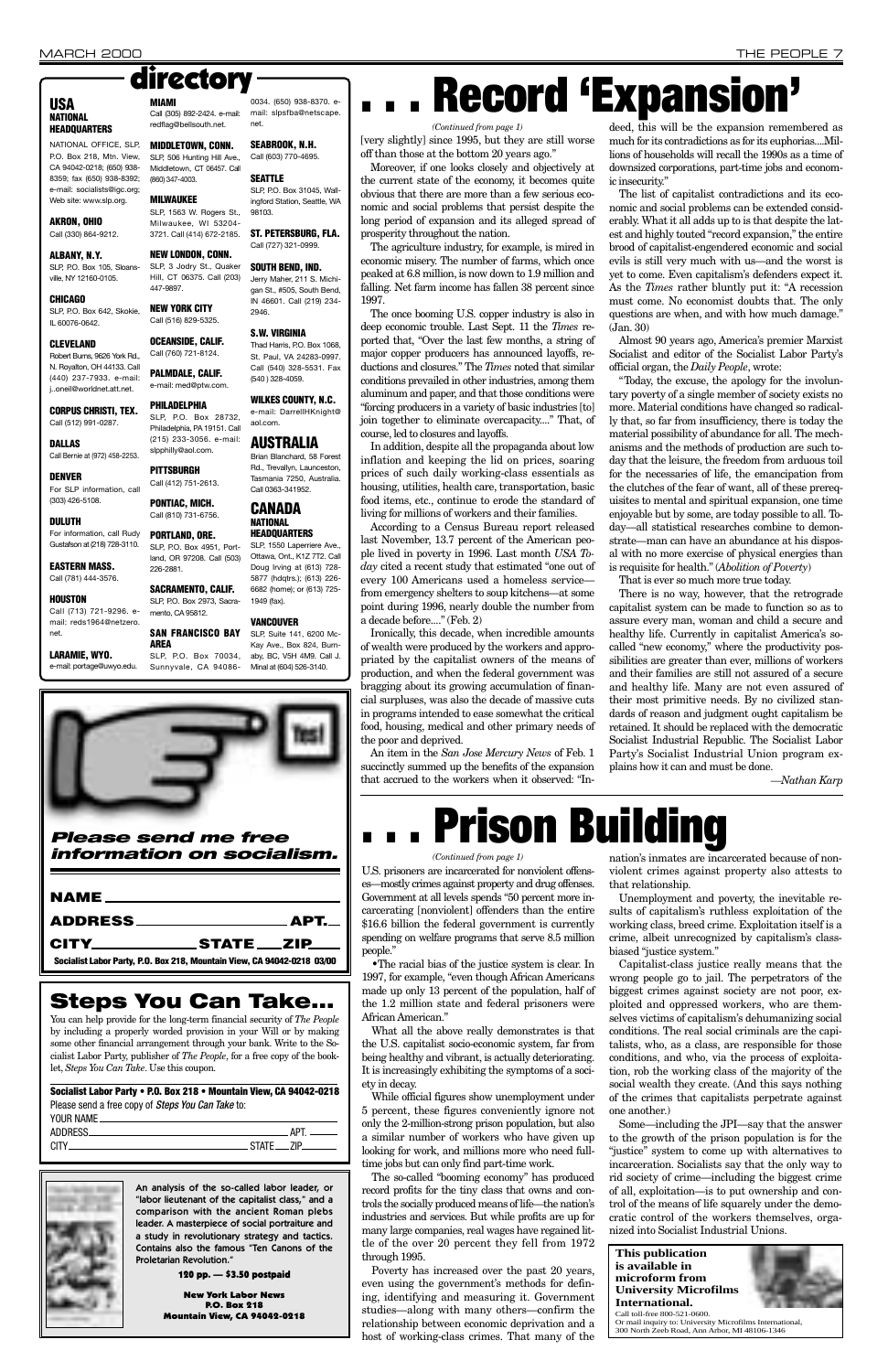U.S. prisoners are incarcerated for nonviolent offenses—mostly crimes against property and drug offenses. Government at all levels spends "50 percent more incarcerating [nonviolent] offenders than the entire \$16.6 billion the federal government is currently spending on welfare programs that serve 8.5 million people."

While official figures show unemployment under 5 percent, these figures conveniently ignore not only the 2-million-strong prison population, but also a similar number of workers who have given up looking for work, and millions more who need fulltime jobs but can only find part-time work.

•The racial bias of the justice system is clear. In 1997, for example, "even though African Americans made up only 13 percent of the population, half of the 1.2 million state and federal prisoners were

African American."

What all the above really demonstrates is that the U.S. capitalist socio-economic system, far from being healthy and vibrant, is actually deteriorating. It is increasingly exhibiting the symptoms of a society in decay.

The so-called "booming economy" has produced record profits for the tiny class that owns and controls the socially produced means of life—the nation's industries and services. But while profits are up for many large companies, real wages have regained little of the over 20 percent they fell from 1972 through 1995.

Poverty has increased over the past 20 years, even using the government's methods for defining, identifying and measuring it. Government studies—along with many others—confirm the relationship between economic deprivation and a host of working-class crimes. That many of the

nation's inmates are incarcerated because of nonviolent crimes against property also attests to that relationship.

Unemployment and poverty, the inevitable results of capitalism's ruthless exploitation of the working class, breed crime. Exploitation itself is a crime, albeit unrecognized by capitalism's classbiased "justice system."

Capitalist-class justice really means that the wrong people go to jail. The perpetrators of the biggest crimes against society are not poor, exploited and oppressed workers, who are themselves victims of capitalism's dehumanizing social conditions. The real social criminals are the capitalists, who, as a class, are responsible for those conditions, and who, via the process of exploitation, rob the working class of the majority of the social wealth they create. (And this says nothing of the crimes that capitalists perpetrate against one another.) Some—including the JPI—say that the answer to the growth of the prison population is for the "justice" system to come up with alternatives to incarceration. Socialists say that the only way to rid society of crime—including the biggest crime of all, exploitation—is to put ownership and control of the means of life squarely under the democratic control of the workers themselves, organized into Socialist Industrial Unions.

### *Please send me free information on socialism.*

| <u>NAME _______________________</u>                                     |  |
|-------------------------------------------------------------------------|--|
|                                                                         |  |
| CITY STATE ZIP                                                          |  |
| Socialist Labor Party, P.O. Box 218, Mountain View, CA 94042-0218 03/00 |  |

[very slightly] since 1995, but they are still worse off than those at the bottom 20 years ago."

Moreover, if one looks closely and objectively at the current state of the economy, it becomes quite obvious that there are more than a few serious economic and social problems that persist despite the long period of expansion and its alleged spread of prosperity throughout the nation.

The agriculture industry, for example, is mired in economic misery. The number of farms, which once peaked at 6.8 million, is now down to 1.9 million and falling. Net farm income has fallen 38 percent since 1997.

The once booming U.S. copper industry is also in deep economic trouble. Last Sept. 11 the *Times* reported that, "Over the last few months, a string of major copper producers has announced layoffs, reductions and closures." The *Times* noted that similar conditions prevailed in other industries, among them aluminum and paper, and that those conditions were "forcing producers in a variety of basic industries [to] join together to eliminate overcapacity...." That, of course, led to closures and layoffs.

In addition, despite all the propaganda about low inflation and keeping the lid on prices, soaring prices of such daily working-class essentials as housing, utilities, health care, transportation, basic food items, etc., continue to erode the standard of living for millions of workers and their families.

According to a Census Bureau report released last November, 13.7 percent of the American people lived in poverty in 1996. Last month *USA Today* cited a recent study that estimated "one out of every 100 Americans used a homeless service from emergency shelters to soup kitchens—at some point during 1996, nearly double the number from a decade before...." (Feb. 2)

Ironically, this decade, when incredible amounts of wealth were produced by the workers and appropriated by the capitalist owners of the means of production, and when the federal government was bragging about its growing accumulation of financial surpluses, was also the decade of massive cuts in programs intended to ease somewhat the critical food, housing, medical and other primary needs of the poor and deprived.

An item in the *San Jose Mercury News* of Feb. 1 succinctly summed up the benefits of the expansion that accrued to the workers when it observed: "In-

deed, this will be the expansion remembered as much for its contradictions as for its euphorias....Millions of households will recall the 1990s as a time of downsized corporations, part-time jobs and economic insecurity."

The list of capitalist contradictions and its economic and social problems can be extended considerably. What it all adds up to is that despite the latest and highly touted "record expansion," the entire brood of capitalist-engendered economic and social evils is still very much with us—and the worst is yet to come. Even capitalism's defenders expect it. As the *Times* rather bluntly put it: "A recession must come. No economist doubts that. The only questions are when, and with how much damage." (Jan. 30)

Almost 90 years ago, America's premier Marxist Socialist and editor of the Socialist Labor Party's official organ, the *Daily People*, wrote:

"Today, the excuse, the apology for the involuntary poverty of a single member of society exists no more. Material conditions have changed so radically that, so far from insufficiency, there is today the material possibility of abundance for all. The mechanisms and the methods of production are such today that the leisure, the freedom from arduous toil for the necessaries of life, the emancipation from the clutches of the fear of want, all of these prerequisites to mental and spiritual expansion, one time enjoyable but by some, are today possible to all. Today—all statistical researches combine to demonstrate—man can have an abundance at his disposal with no more exercise of physical energies than is requisite for health." (*Abolition of Poverty*)

That is ever so much more true today.

There is no way, however, that the retrograde capitalist system can be made to function so as to assure every man, woman and child a secure and healthy life. Currently in capitalist America's socalled "new economy," where the productivity possibilities are greater than ever, millions of workers and their families are still not assured of a secure and healthy life. Many are not even assured of their most primitive needs. By no civilized standards of reason and judgment ought capitalism be retained. It should be replaced with the democratic Socialist Industrial Republic. The Socialist Labor Party's Socialist Industrial Union program explains how it can and must be done.

*—Nathan Karp*



You can help provide for the long-term financial security of *The People* by including a properly worded provision in your Will or by making some other financial arrangement through your bank. Write to the Socialist Labor Party, publisher of *The People*, for a free copy of the booklet, *Steps You Can Take*. Use this coupon.

**Socialist Labor Party • P.O. Box 218 • Mountain View, CA 94042-0218** Please send a free copy of Steps You Can Take to: YOUR NAME\_ ADDRESS APT.

CITY STATE ZIP



#### **USA NATIONAL HEADQUARTERS**

NATIONAL OFFICE, SLP, P.O. Box 218, Mtn. View, CA 94042-0218; (650) 938- 8359; fax (650) 938-8392; e-mail: socialists@igc.org; Web site: www.slp.org.

#### **AKRON, OHIO** Call (330) 864-9212.

**ALBANY, N.Y.** SLP, P.O. Box 105, Sloansville, NY 12160-0105.

**CHICAGO** SLP, P.O. Box 642, Skokie, IL 60076-0642.

#### **CLEVELAND**

**CORPUS CHRISTI, TEX.** Call (512) 991-0287.

**DALLAS** Call Bernie at (972) 458-2253.

**DENVER** For SLP information, call (303) 426-5108.

### **DULUTH**

**EASTERN MASS.** Call (781) 444-3576.

#### **HOUSTON**

Call (713) 721-9296. email: reds1964@netzero. net.

**LARAMIE, WYO.** e-mail: portage@uwyo.edu.

Robert Burns, 9626 York Rd., N. Royalton, OH 44133. Call (440) 237-7933. e-mail: j..oneil@worldnet.att.net. Call (760) 721-8124. **PALMDALE, CALIF.** e-mail: med@ptw.com.

**MIAMI**

(860) 347-4003. **MILWAUKEE**

For information, call Rudy Gustafson at (218) 728-3110. **PORTLAND, ORE.**

#### **NEW LONDON, CONN.** SLP, 3 Jodry St., Quaker

447-9897.

**NEW YORK CITY** Call (516) 829-5325.

**PHILADELPHIA**

Call (305) 892-2424. e-mail: redflag@bellsouth.net. 0034. (650) 938-8370. email: slpsfba@netscape. net.

#### **MIDDLETOWN, CONN.** SLP, 506 Hunting Hill Ave., **SEABROOK, N.H.** Call (603) 770-4695.

Middletown, CT 06457. Call **SEATTLE** SLP, P.O. Box 31045, Wallingford Station, Seattle, WA

slpphilly@aol.com. **PITTSBURGH** Call (412) 751-2613. **PONTIAC, MICH.** Call (810) 731-6756.

SLP, 1563 W. Rogers St., Milwaukee, WI 53204- 3721. Call (414) 672-2185. 98103. **ST. PETERSBURG, FLA.** Call (727) 321-0999.

226-2881.

Hill, CT 06375. Call (203) **SOUTH BEND, IND.** Jerry Maher, 211 S. Michigan St., #505, South Bend, IN 46601. Call (219) 234- 2946.

mento, CA 95812.

#### **OCEANSIDE, CALIF. S.W. VIRGINIA**

**AREA**

SLP, P.O. Box 28732, Philadelphia, PA 19151. Call (215) 233-3056. e-mail: **WILKES COUNTY, N.C.** e-mail: DarrellHKnight@ aol.com.

SLP, P.O. Box 4951, Portland, OR 97208. Call (503) **SACRAMENTO, CALIF.** SLP, P.O. Box 2973, Sacra-**HEADQUARTERS** SLP, 1550 Laperriere Ave., Ottawa, Ont., K1Z 7T2. Call Doug Irving at (613) 728- 5877 (hdqtrs.); (613) 226- 6682 (home); or (613) 725- 1949 (fax).

Thad Harris, P.O. Box 1068, St. Paul, VA 24283-0997. Call (540) 328-5531. Fax (540 ) 328-4059.

**SAN FRANCISCO BAY** SLP, P.O. Box 70034, Sunnyvale, CA 94086- SLP, Suite 141, 6200 Mc-Kay Ave., Box 824, Burnaby, BC, V5H 4M9. Call J. Minal at (604) 526-3140.

directory *. . . . . . . . . . . Record* 'Expansion's **and Sion**<sup>7</sup>

### **AUSTRALIA**

Brian Blanchard, 58 Forest Rd., Trevallyn, Launceston, Tasmania 7250, Australia. Call 0363-341952.

#### **CANADA NATIONAL**

### **VANCOUVER**

#### *(Continued from page 1)*

# **. . . Prison Building**

#### *(Continued from page 1)*

An analysis of the so-called labor leader, or "labor lieutenant of the capitalist class," and a comparison with the ancient Roman plebs leader. A masterpiece of social portraiture and a study in revolutionary strategy and tactics. Contains also the famous "Ten Canons of the Proletarian Revolution."

120 pp. — \$3.50 postpaid

New York Labor News P.O. Box 218 Mountain View, CA 94042-0218

#### **This publication is available in microform from University Microfilms International.**



Call toll-free 800-521-0600. Or mail inquiry to: University Microfilms International, 300 North Zeeb Road, Ann Arbor, MI 48106-1346